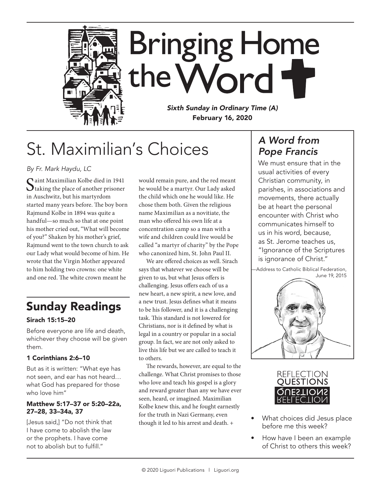

# St. Maximilian's Choices

*By Fr. Mark Haydu, LC*

 $\bigcap$ aint Maximilian Kolbe died in 1941  $\bigcup$  taking the place of another prisoner in Auschwitz, but his martyrdom started many years before. The boy born Rajmund Kolbe in 1894 was quite a handful—so much so that at one point his mother cried out, "What will become of you?" Shaken by his mother's grief, Rajmund went to the town church to ask our Lady what would become of him. He wrote that the Virgin Mother appeared to him holding two crowns: one white and one red. The white crown meant he

## Sunday Readings

### Sirach 15:15–20

Before everyone are life and death, whichever they choose will be given them.

### 1 Corinthians 2:6–10

But as it is written: "What eye has not seen, and ear has not heard… what God has prepared for those who love him"

### Matthew 5:17–37 or 5:20–22a, 27–28, 33–34a, 37

[Jesus said,] "Do not think that I have come to abolish the law or the prophets. I have come not to abolish but to fulfill."

would remain pure, and the red meant he would be a martyr. Our Lady asked the child which one he would like. He chose them both. Given the religious name Maximilian as a novitiate, the man who offered his own life at a concentration camp so a man with a wife and children could live would be called "a martyr of charity" by the Pope who canonized him, St. John Paul II.

We are offered choices as well. Sirach says that whatever we choose will be given to us, but what Jesus offers is challenging. Jesus offers each of us a new heart, a new spirit, a new love, and a new trust. Jesus defines what it means to be his follower, and it is a challenging task. This standard is not lowered for Christians, nor is it defined by what is legal in a country or popular in a social group. In fact, we are not only asked to live this life but we are called to teach it to others.

The rewards, however, are equal to the challenge. What Christ promises to those who love and teach his gospel is a glory and reward greater than any we have ever seen, heard, or imagined. Maximilian Kolbe knew this, and he fought earnestly for the truth in Nazi Germany, even though it led to his arrest and death. +

### *A Word from Pope Francis*

We must ensure that in the usual activities of every Christian community, in parishes, in associations and movements, there actually be at heart the personal encounter with Christ who communicates himself to us in his word, because, as St. Jerome teaches us, "Ignorance of the Scriptures is ignorance of Christ."





- What choices did Jesus place before me this week?
- How have I been an example of Christ to others this week?